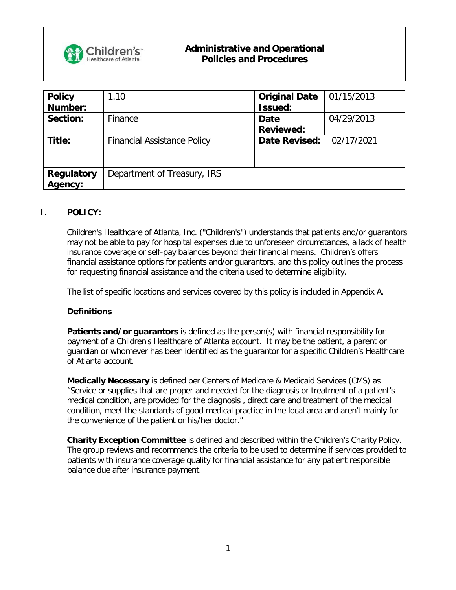

| <b>Policy</b>     | 1.10                               | <b>Original Date</b> | 01/15/2013 |
|-------------------|------------------------------------|----------------------|------------|
| Number:           |                                    | Issued:              |            |
| Section:          | Finance                            | <b>Date</b>          | 04/29/2013 |
|                   |                                    | <b>Reviewed:</b>     |            |
| Title:            | <b>Financial Assistance Policy</b> | <b>Date Revised:</b> | 02/17/2021 |
|                   |                                    |                      |            |
|                   |                                    |                      |            |
| <b>Regulatory</b> | Department of Treasury, IRS        |                      |            |
| Agency:           |                                    |                      |            |

#### **I. POLICY:**

Children's Healthcare of Atlanta, Inc. ("Children's") understands that patients and/or guarantors may not be able to pay for hospital expenses due to unforeseen circumstances, a lack of health insurance coverage or self-pay balances beyond their financial means. Children's offers financial assistance options for patients and/or guarantors, and this policy outlines the process for requesting financial assistance and the criteria used to determine eligibility.

The list of specific locations and services covered by this policy is included in Appendix A.

#### **Definitions**

**Patients and/or guarantors** is defined as the person(s) with financial responsibility for payment of a Children's Healthcare of Atlanta account. It may be the patient, a parent or guardian or whomever has been identified as the guarantor for a specific Children's Healthcare of Atlanta account.

**Medically Necessary** is defined per Centers of Medicare & Medicaid Services (CMS) as "Service or supplies that are proper and needed for the diagnosis or treatment of a patient's medical condition, are provided for the diagnosis , direct care and treatment of the medical condition, meet the standards of good medical practice in the local area and aren't mainly for the convenience of the patient or his/her doctor."

**Charity Exception Committee** is defined and described within the Children's Charity Policy. The group reviews and recommends the criteria to be used to determine if services provided to patients with insurance coverage quality for financial assistance for any patient responsible balance due after insurance payment.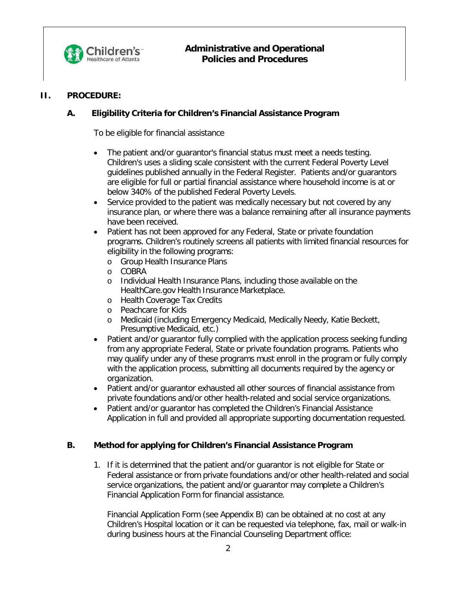

#### **II. PROCEDURE:**

## **A. Eligibility Criteria for Children's Financial Assistance Program**

To be eligible for financial assistance

- The patient and/or guarantor's financial status must meet a needs testing. Children's uses a sliding scale consistent with the current Federal Poverty Level guidelines published annually in the Federal Register. Patients and/or guarantors are eligible for full or partial financial assistance where household income is at or below 340% of the published Federal Poverty Levels.
- Service provided to the patient was medically necessary but not covered by any insurance plan, or where there was a balance remaining after all insurance payments have been received.
- Patient has not been approved for any Federal, State or private foundation programs. Children's routinely screens all patients with limited financial resources for eligibility in the following programs:
	- o Group Health Insurance Plans
	- o COBRA
	- o Individual Health Insurance Plans, including those available on the HealthCare.gov Health Insurance Marketplace.
	- o Health Coverage Tax Credits
	- o Peachcare for Kids
	- o Medicaid (including Emergency Medicaid, Medically Needy, Katie Beckett, Presumptive Medicaid, etc.)
- Patient and/or quarantor fully complied with the application process seeking funding from any appropriate Federal, State or private foundation programs. Patients who may qualify under any of these programs must enroll in the program or fully comply with the application process, submitting all documents required by the agency or organization.
- Patient and/or guarantor exhausted all other sources of financial assistance from private foundations and/or other health-related and social service organizations.
- Patient and/or guarantor has completed the Children's Financial Assistance Application in full and provided all appropriate supporting documentation requested.

#### **B. Method for applying for Children's Financial Assistance Program**

1. If it is determined that the patient and/or guarantor is not eligible for State or Federal assistance or from private foundations and/or other health-related and social service organizations, the patient and/or guarantor may complete a Children's Financial Application Form for financial assistance.

Financial Application Form (see Appendix B) can be obtained at no cost at any Children's Hospital location or it can be requested via telephone, fax, mail or walk-in during business hours at the Financial Counseling Department office: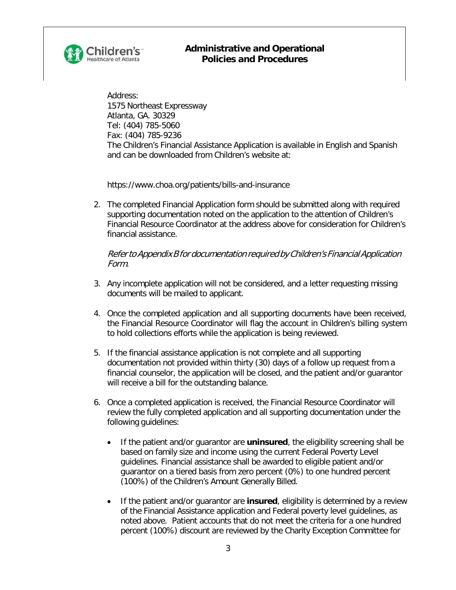

Address: 1575 Northeast Expressway Atlanta, GA. 30329 Tel: (404) 785-5060 Fax: (404) 785-9236 The Children's Financial Assistance Application is available in English and Spanish and can be downloaded from Children's website at:

[https://www.choa.org/patients/bills-and-insurance](http://www.choa.org/patients/bills-and-insurance)

2. The completed Financial Application form should be submitted along with required supporting documentation noted on the application to the attention of Children's Financial Resource Coordinator at the address above for consideration for Children's financial assistance.

Referto Appendix B for documentation required by Children's Financial Application Form.

- 3. Any incomplete application will not be considered, and a letter requesting missing documents will be mailed to applicant.
- 4. Once the completed application and all supporting documents have been received, the Financial Resource Coordinator will flag the account in Children's billing system to hold collections efforts while the application is being reviewed.
- 5. If the financial assistance application is not complete and all supporting documentation not provided within thirty (30) days of a follow up request from a financial counselor, the application will be closed, and the patient and/or guarantor will receive a bill for the outstanding balance.
- 6. Once a completed application is received, the Financial Resource Coordinator will review the fully completed application and all supporting documentation under the following guidelines:
	- If the patient and/or guarantor are **uninsured**, the eligibility screening shall be based on family size and income using the current Federal Poverty Level guidelines. Financial assistance shall be awarded to eligible patient and/or guarantor on a tiered basis from zero percent (0%) to one hundred percent (100%) of the Children's Amount Generally Billed.
	- If the patient and/or guarantor are **insured**, eligibility is determined by a review of the Financial Assistance application and Federal poverty level guidelines, as noted above. Patient accounts that do not meet the criteria for a one hundred percent (100%) discount are reviewed by the Charity Exception Committee for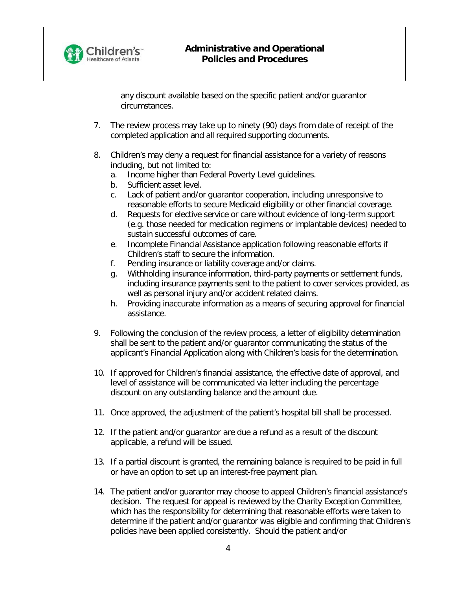

any discount available based on the specific patient and/or guarantor circumstances.

- 7. The review process may take up to ninety (90) days from date of receipt of the completed application and all required supporting documents.
- 8. Children's may deny a request for financial assistance for a variety of reasons including, but not limited to:
	- a. Income higher than Federal Poverty Level guidelines.
	- b. Sufficient asset level.
	- c. Lack of patient and/or guarantor cooperation, including unresponsive to reasonable efforts to secure Medicaid eligibility or other financial coverage.
	- d. Requests for elective service or care without evidence of long-term support (e.g. those needed for medication regimens or implantable devices) needed to sustain successful outcomes of care.
	- e. Incomplete Financial Assistance application following reasonable efforts if Children's staff to secure the information.
	- f. Pending insurance or liability coverage and/or claims.
	- g. Withholding insurance information, third-party payments or settlement funds, including insurance payments sent to the patient to cover services provided, as well as personal injury and/or accident related claims.
	- h. Providing inaccurate information as a means of securing approval for financial assistance.
- 9. Following the conclusion of the review process, a letter of eligibility determination shall be sent to the patient and/or guarantor communicating the status of the applicant's Financial Application along with Children's basis for the determination.
- 10. If approved for Children's financial assistance, the effective date of approval, and level of assistance will be communicated via letter including the percentage discount on any outstanding balance and the amount due.
- 11. Once approved, the adjustment of the patient's hospital bill shall be processed.
- 12. If the patient and/or guarantor are due a refund as a result of the discount applicable, a refund will be issued.
- 13. If a partial discount is granted, the remaining balance is required to be paid in full or have an option to set up an interest-free payment plan.
- 14. The patient and/or guarantor may choose to appeal Children's financial assistance's decision. The request for appeal is reviewed by the Charity Exception Committee, which has the responsibility for determining that reasonable efforts were taken to determine if the patient and/or guarantor was eligible and confirming that Children's policies have been applied consistently. Should the patient and/or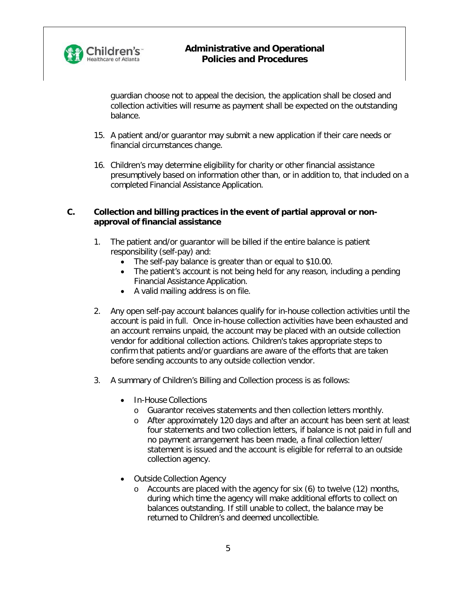

guardian choose not to appeal the decision, the application shall be closed and collection activities will resume as payment shall be expected on the outstanding balance.

- 15. A patient and/or guarantor may submit a new application if their care needs or financial circumstances change.
- 16. Children's may determine eligibility for charity or other financial assistance presumptively based on information other than, or in addition to, that included on a completed Financial Assistance Application.

#### **C. Collection and billing practices in the event of partial approval or nonapproval of financial assistance**

- 1. The patient and/or guarantor will be billed if the entire balance is patient responsibility (self-pay) and:
	- The self-pay balance is greater than or equal to \$10.00.
	- The patient's account is not being held for any reason, including a pending Financial Assistance Application.
	- A valid mailing address is on file.
- 2. Any open self-pay account balances qualify for in-house collection activities until the account is paid in full. Once in-house collection activities have been exhausted and an account remains unpaid, the account may be placed with an outside collection vendor for additional collection actions. Children's takes appropriate steps to confirm that patients and/or guardians are aware of the efforts that are taken before sending accounts to any outside collection vendor.
- 3. A summary of Children's Billing and Collection process is as follows:
	- In-House Collections
		- o Guarantor receives statements and then collection letters monthly.
		- o After approximately 120 days and after an account has been sent at least four statements and two collection letters, if balance is not paid in full and no payment arrangement has been made, a final collection letter/ statement is issued and the account is eligible for referral to an outside collection agency.
	- Outside Collection Agency
		- o Accounts are placed with the agency for six (6) to twelve (12) months, during which time the agency will make additional efforts to collect on balances outstanding. If still unable to collect, the balance may be returned to Children's and deemed uncollectible.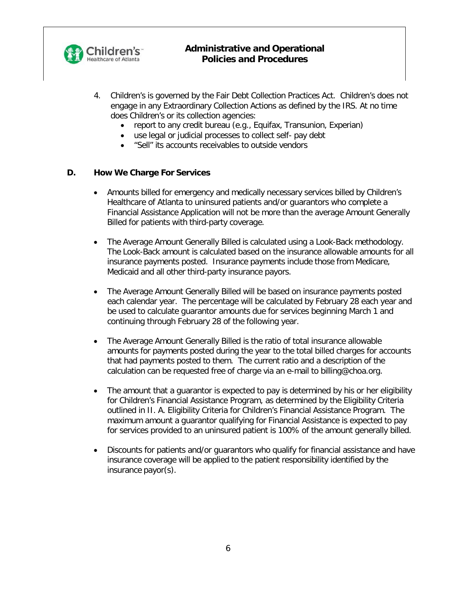

- 4. Children's is governed by the Fair Debt Collection Practices Act. Children's does not engage in any Extraordinary Collection Actions as defined by the IRS. At no time does Children's or its collection agencies:
	- report to any credit bureau (e.g., Equifax, Transunion, Experian)
	- use legal or judicial processes to collect self- pay debt
	- "Sell" its accounts receivables to outside vendors

#### **D. How We Charge For Services**

- Amounts billed for emergency and medically necessary services billed by Children's Healthcare of Atlanta to uninsured patients and/or guarantors who complete a Financial Assistance Application will not be more than the average Amount Generally Billed for patients with third-party coverage.
- The Average Amount Generally Billed is calculated using a Look-Back methodology. The Look-Back amount is calculated based on the insurance allowable amounts for all insurance payments posted. Insurance payments include those from Medicare, Medicaid and all other third-party insurance payors.
- The Average Amount Generally Billed will be based on insurance payments posted each calendar year. The percentage will be calculated by February 28 each year and be used to calculate guarantor amounts due for services beginning March 1 and continuing through February 28 of the following year.
- The Average Amount Generally Billed is the ratio of total insurance allowable amounts for payments posted during the year to the total billed charges for accounts that had payments posted to them. The current ratio and a description of the calculation can be requested free of charge via an e-mail to [billing@choa.org.](mailto:billing@choa.org)
- The amount that a quarantor is expected to pay is determined by his or her eligibility for Children's Financial Assistance Program, as determined by the Eligibility Criteria outlined in II. A. Eligibility Criteria for Children's Financial Assistance Program. The maximum amount a guarantor qualifying for Financial Assistance is expected to pay for services provided to an uninsured patient is 100% of the amount generally billed.
- Discounts for patients and/or guarantors who qualify for financial assistance and have insurance coverage will be applied to the patient responsibility identified by the insurance payor(s).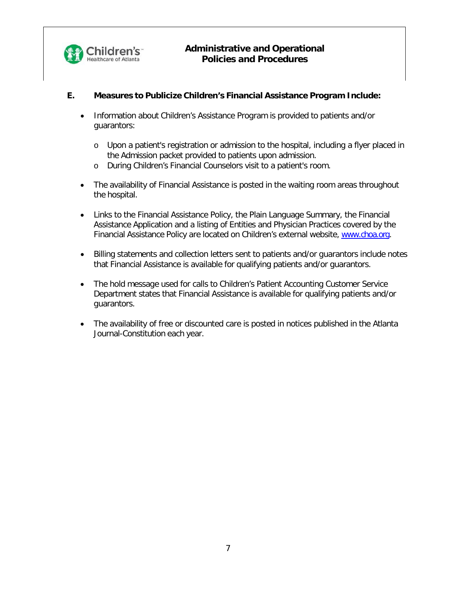

## **E. Measures to Publicize Children's Financial Assistance Program Include:**

- Information about Children's Assistance Program is provided to patients and/or guarantors:
	- o Upon a patient's registration or admission to the hospital, including a flyer placed in the Admission packet provided to patients upon admission.
	- o During Children's Financial Counselors visit to a patient's room.
- The availability of Financial Assistance is posted in the waiting room areas throughout the hospital.
- Links to the Financial Assistance Policy, the Plain Language Summary, the Financial Assistance Application and a listing of Entities and Physician Practices covered by the Financial Assistance Policy are located on Children's external website, [www.choa.org.](http://www.choa.org/)
- Billing statements and collection letters sent to patients and/or guarantors include notes that Financial Assistance is available for qualifying patients and/or guarantors.
- The hold message used for calls to Children's Patient Accounting Customer Service Department states that Financial Assistance is available for qualifying patients and/or guarantors.
- The availability of free or discounted care is posted in notices published in the Atlanta Journal-Constitution each year.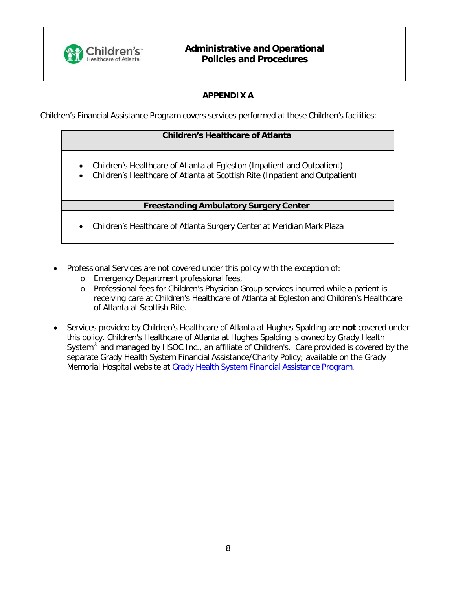

# **APPENDIX A**

Children's Financial Assistance Program covers services performed at these Children's facilities:

#### **Children's Healthcare of Atlanta**

- Children's Healthcare of Atlanta at Egleston (Inpatient and Outpatient)
- Children's Healthcare of Atlanta at Scottish Rite (Inpatient and Outpatient)

#### **Freestanding Ambulatory Surgery Center**

- Children's Healthcare of Atlanta Surgery Center at Meridian Mark Plaza
- Professional Services are not covered under this policy with the exception of:
	- o Emergency Department professional fees,
	- o Professional fees for Children's Physician Group services incurred while a patient is receiving care at Children's Healthcare of Atlanta at Egleston and Children's Healthcare of Atlanta at Scottish Rite.
- Services provided by Children's Healthcare of Atlanta at Hughes Spalding are **not** covered under this policy. Children's Healthcare of Atlanta at Hughes Spalding is owned by Grady Health System<sup>®</sup> and managed by HSOC Inc., an affiliate of Children's. Care provided is covered by the separate Grady Health System Financial Assistance/Charity Policy; available on the Grady Memorial Hospital website at Grady Health System Financial [Assistance](https://www.gradyhealth.org/wp-content/uploads/2018/04/Financial-Assistance-Program-Policy.pdf) Program.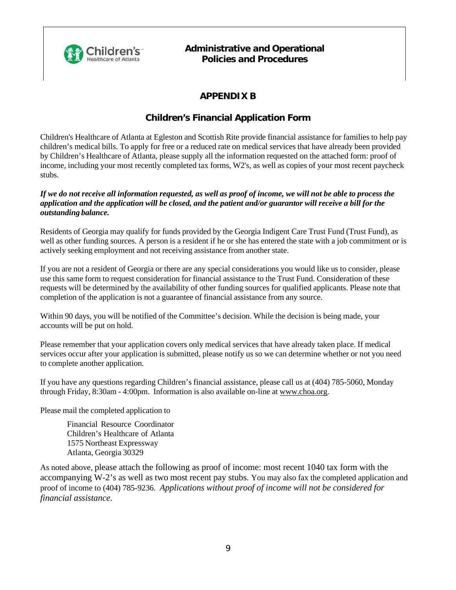

# **APPENDIX B**

# **Children's Financial Application Form**

Children's Healthcare of Atlanta at Egleston and Scottish Rite provide financial assistance for families to help pay children's medical bills. To apply for free or a reduced rate on medical services that have already been provided by Children's Healthcare of Atlanta, please supply all the information requested on the attached form: proof of income, including your most recently completed tax forms, W2's, as well as copies of your most recent paycheck stubs.

#### If we do not receive all information requested, as well as proof of income, we will not be able to process the application and the application will be closed, and the patient and/or guarantor will receive a bill for the *outstanding balance.*

Residents of Georgia may qualify for funds provided by the Georgia Indigent Care Trust Fund (Trust Fund), as well as other funding sources. A person is a resident if he or she has entered the state with a job commitment or is actively seeking employment and not receiving assistance from another state.

If you are not a resident of Georgia or there are any special considerations you would like us to consider, please use this same form to request consideration for financial assistance to the Trust Fund. Consideration of these requests will be determined by the availability of other funding sources for qualified applicants. Please note that completion of the application is not a guarantee of financial assistance from any source.

Within 90 days, you will be notified of the Committee's decision. While the decision is being made, your accounts will be put on hold.

Please remember that your application covers only medical services that have already taken place. If medical services occur after your application is submitted, please notify us so we can determine whether or not you need to complete another application.

If you have any questions regarding Children's financial assistance, please call us at (404) 785-5060, Monday through Friday, 8:30am - 4:00pm. Information is also available on-line at [www.choa.org.](http://www.choa.org/)

Please mail the completed application to

Financial Resource Coordinator Children's Healthcare of Atlanta 1575 Northeast Expressway Atlanta, Georgia 30329

As noted above, please attach the following as proof of income: most recent 1040 tax form with the accompanying W-2's as well as two most recent pay stubs. You may also fax the completed application and proof of income to (404) 785-9236. *Applications without proof of income will not be considered for financial assistance*.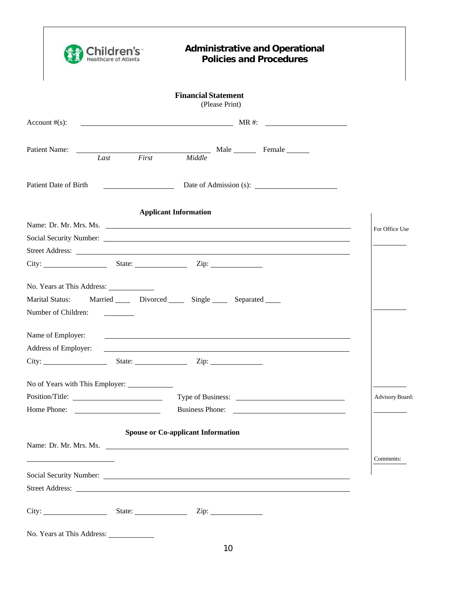| `hildre<br><b>Healthcare of Atlanta</b>           | <b>Administrative and Operational</b><br><b>Policies and Procedures</b>                                                                                                                                                              |                 |
|---------------------------------------------------|--------------------------------------------------------------------------------------------------------------------------------------------------------------------------------------------------------------------------------------|-----------------|
|                                                   | <b>Financial Statement</b><br>(Please Print)                                                                                                                                                                                         |                 |
| Account $#(s)$ :                                  | MR #:                                                                                                                                                                                                                                |                 |
| Patient Name:<br>First<br>Last                    | Male Female<br>Middle                                                                                                                                                                                                                |                 |
| <b>Patient Date of Birth</b>                      |                                                                                                                                                                                                                                      |                 |
|                                                   | <b>Applicant Information</b>                                                                                                                                                                                                         |                 |
|                                                   | Name: Dr. Mr. Mrs. Ms.                                                                                                                                                                                                               | For Office Use  |
|                                                   |                                                                                                                                                                                                                                      |                 |
|                                                   |                                                                                                                                                                                                                                      |                 |
| City: State: Zip: Zip:                            |                                                                                                                                                                                                                                      |                 |
|                                                   |                                                                                                                                                                                                                                      |                 |
| Marital Status:                                   | Married Divorced Single Separated                                                                                                                                                                                                    |                 |
| Number of Children:                               |                                                                                                                                                                                                                                      |                 |
|                                                   |                                                                                                                                                                                                                                      |                 |
| Name of Employer:                                 |                                                                                                                                                                                                                                      |                 |
| Address of Employer:                              |                                                                                                                                                                                                                                      |                 |
| City:<br>State:                                   | Zip:                                                                                                                                                                                                                                 |                 |
|                                                   |                                                                                                                                                                                                                                      |                 |
|                                                   |                                                                                                                                                                                                                                      | Advisory Board: |
|                                                   | Business Phone:                                                                                                                                                                                                                      |                 |
|                                                   |                                                                                                                                                                                                                                      |                 |
|                                                   | <b>Spouse or Co-applicant Information</b>                                                                                                                                                                                            |                 |
|                                                   | Name: Dr. Mr. Mrs. Ms.                                                                                                                                                                                                               |                 |
| <u> 1989 - Johann Barbara, martxa alemaniar a</u> |                                                                                                                                                                                                                                      | Comments:       |
|                                                   |                                                                                                                                                                                                                                      |                 |
|                                                   | Street Address: <u>the contract of the contract of the contract of the contract of the contract of the contract of the contract of the contract of the contract of the contract of the contract of the contract of the contract </u> |                 |
|                                                   |                                                                                                                                                                                                                                      |                 |
|                                                   |                                                                                                                                                                                                                                      |                 |
|                                                   |                                                                                                                                                                                                                                      |                 |

ı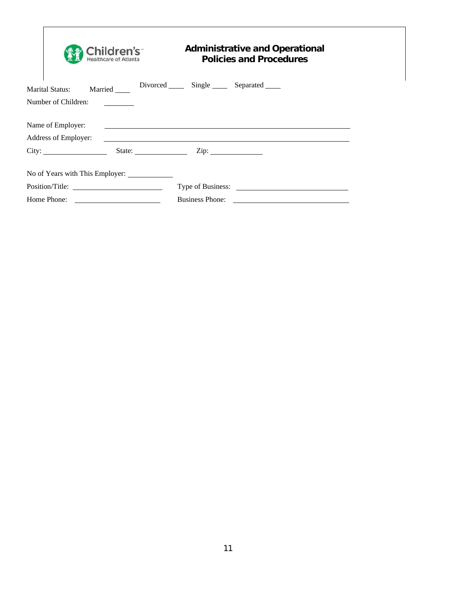|                                   | Children's <sup>-</sup><br><b>Healthcare of Atlanta</b>                                                              | <b>Administrative and Operational</b><br><b>Policies and Procedures</b> |  |  |  |  |
|-----------------------------------|----------------------------------------------------------------------------------------------------------------------|-------------------------------------------------------------------------|--|--|--|--|
| Married<br><b>Marital Status:</b> |                                                                                                                      | Divorced Single Separated                                               |  |  |  |  |
| Number of Children:               |                                                                                                                      |                                                                         |  |  |  |  |
| Name of Employer:                 |                                                                                                                      |                                                                         |  |  |  |  |
| Address of Employer:              |                                                                                                                      |                                                                         |  |  |  |  |
| City:                             |                                                                                                                      | State: <u>Zip: Zip:</u>                                                 |  |  |  |  |
| No of Years with This Employer:   |                                                                                                                      |                                                                         |  |  |  |  |
|                                   |                                                                                                                      |                                                                         |  |  |  |  |
| Home Phone:                       | <u> 1980 - Jan Stein Stein Stein Stein Stein Stein Stein Stein Stein Stein Stein Stein Stein Stein Stein Stein S</u> | <b>Business Phone:</b>                                                  |  |  |  |  |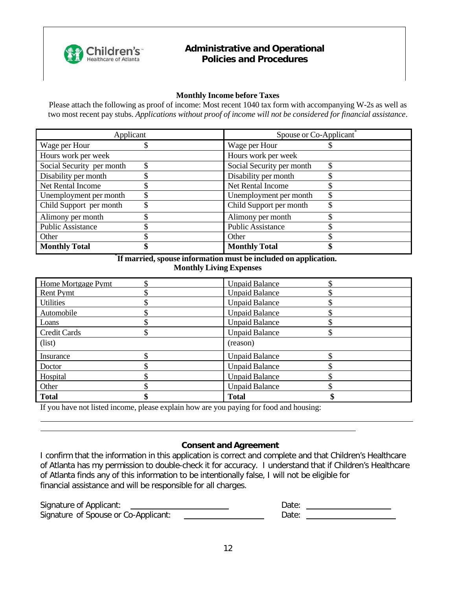

#### **Monthly Income before Taxes**

Please attach the following as proof of income: Most recent 1040 tax form with accompanying W-2s as well as two most recent pay stubs. *Applications without proof of income will not be considered for financial assistance*.

| Applicant                 | Spouse or Co-Applicant    |  |  |  |
|---------------------------|---------------------------|--|--|--|
| Wage per Hour             | Wage per Hour             |  |  |  |
| Hours work per week       | Hours work per week       |  |  |  |
| Social Security per month | Social Security per month |  |  |  |
| Disability per month      | Disability per month      |  |  |  |
| Net Rental Income         | Net Rental Income         |  |  |  |
| Unemployment per month    | Unemployment per month    |  |  |  |
| Child Support per month   | Child Support per month   |  |  |  |
| Alimony per month         | Alimony per month         |  |  |  |
| <b>Public Assistance</b>  | <b>Public Assistance</b>  |  |  |  |
| Other                     | Other                     |  |  |  |
| <b>Monthly Total</b>      | <b>Monthly Total</b>      |  |  |  |

#### \* **If married, spouse information must be included on application. Monthly Living Expenses**

| Home Mortgage Pymt  | <b>Unpaid Balance</b> |
|---------------------|-----------------------|
| <b>Rent Pymt</b>    | <b>Unpaid Balance</b> |
| <b>Utilities</b>    | <b>Unpaid Balance</b> |
| Automobile          | <b>Unpaid Balance</b> |
| Loans               | <b>Unpaid Balance</b> |
| <b>Credit Cards</b> | <b>Unpaid Balance</b> |
| (list)              | (reason)              |
| Insurance           | <b>Unpaid Balance</b> |
| Doctor              | <b>Unpaid Balance</b> |
| Hospital            | <b>Unpaid Balance</b> |
| Other               | <b>Unpaid Balance</b> |
| <b>Total</b>        | <b>Total</b>          |

If you have not listed income, please explain how are you paying for food and housing:

#### **Consent and Agreement**

I confirm that the information in this application is correct and complete and that Children's Healthcare of Atlanta has my permission to double-check it for accuracy. I understand that if Children's Healthcare of Atlanta finds any of this information to be intentionally false, I will not be eligible for financial assistance and will be responsible for all charges.

| Signature of Applicant:              | Date: |
|--------------------------------------|-------|
| Signature of Spouse or Co-Applicant: | Date: |